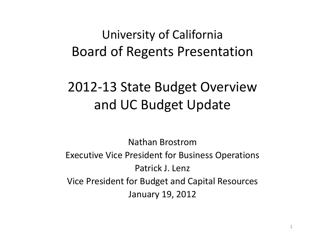### University of California Board of Regents Presentation

## 2012‐13 State Budget Overview and UC Budget Update

Nathan BrostromExecutive Vice President for Business Operations Patrick J. Lenz Vice President for Budget and Capital Resources January 19, 2012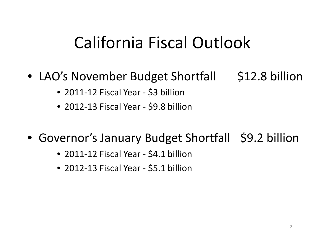## California Fiscal Outlook

- LAO's November Budget Shortfall 512.8 billion
	- 2011‐12 Fiscal Year ‐ \$3 billion
	- 2012‐13 Fiscal Year ‐ \$9.8 billion
- Governor's January Budget Shortfall \$9.2 billion
	- 2011‐12 Fiscal Year ‐ \$4.1 billion
	- 2012‐13 Fiscal Year ‐ \$5.1 billion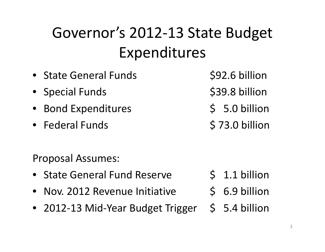## Governor's 2012‐13 State Budget Expenditures

• State General Funds \$92.6 billion • Special Funds \$39.8 billion • Bond Expenditures \$ 5.0 billion • Federal Funds \$73.0 billion Proposal Assumes: • State General Fund\$ 1.1 billion •• Nov. 2012 Revenue Initiative  $\leftarrow$  \$ 6.9 billion • 2012-13 Mid-Year Budget Trigger \$ 5.4 billion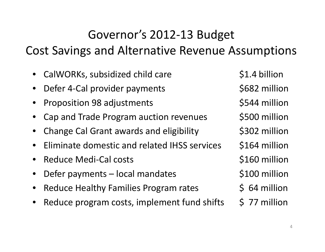### Governor's 2012‐13 Budget

Cost Savings and Alternative Revenue Assumptions

- •CalWORKs, subsidized child care  $$1.4$  billion
- •Defer 4-Cal provider payments \$682 million
- •Proposition 98 adjustments  $$544$  million
- •Cap and Trade Program auction revenues \$500 million
- •Change Cal Grant awards and eligibility  $\sim$  \$302 million
- •• Eliminate domestic and related IHSS services 5164 million
- •Reduce Medi‐Cal costs \$160 million
- •Defer payments – local mandates  $\sim$  \$100 million
- •• Reduce Healthy Families Program rates  $\begin{array}{cc} \text{64}\end{array}$  \$ 64 million
- $\bullet$ • Reduce program costs, implement fund shifts 5 77 million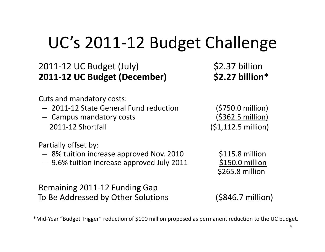# UC's 2011-12 Budget Challenge

### 2011‐12 UC Budget (July) \$2.37 billion **2011‐12 UC Budget (December) \$2 <sup>27</sup> . billion billion\***

Cuts and mandatory costs:

- 2011‐12 State General Fund reduction (\$750.0 million)
- Campus mandatory costs (\$362.5 million) 2011-12 Shortfall

Partially offset by:

- 8% tuition increase approved Nov. 2010 §115.8 million
- 9.6% tuition increase approved July 2011 \$150.0 million

Remaining 2011‐12 Funding Gap To Be Addressed by Other Solutions (\$846.7 million)

 $(51,112.5 \text{ million})$ 

\$265.8 million

\*Mid‐Year "Budget Trigger" reduction of \$100 million proposed as permanent reduction to the UC budget.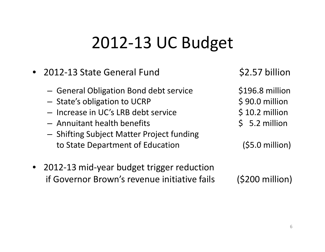# 2012‐13 UC Budget

- 2012‐13 State General Fund
	- –— General Obligation Bond debt service \$196.8 million
	- –— State's obligation to UCRP \$ 90.0 million
	- Increase in UC's LRB debt service  $\sim$  \$ 10.2 million
	- Annuitant health benefits \$ 5.2 million
	- – $-$  Shifting Subject Matter Project funding to State Department of Education (\$5.0 million)

\$2.57 billion

- 
- 
- 

• 2012‐13 mid‐year budget trigger reduction if Governor Brown's revenue

 $(5200$  million)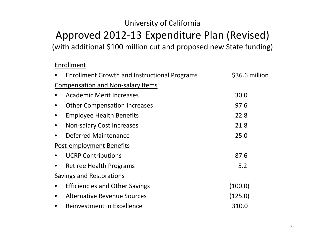### University of California

### Approved 2012‐13 Expenditure Plan (Revised)

(with additional \$100 million cut and proposed new State funding)

#### Enrollment

|           | <b>Enrollment Growth and Instructional Programs</b> | \$36.6 million |
|-----------|-----------------------------------------------------|----------------|
|           | <b>Compensation and Non-salary Items</b>            |                |
|           | <b>Academic Merit Increases</b>                     | 30.0           |
|           | <b>Other Compensation Increases</b>                 | 97.6           |
|           | <b>Employee Health Benefits</b>                     | 22.8           |
| $\bullet$ | <b>Non-salary Cost Increases</b>                    | 21.8           |
| $\bullet$ | <b>Deferred Maintenance</b>                         | 25.0           |
|           | Post-employment Benefits                            |                |
|           | <b>UCRP Contributions</b>                           | 87.6           |
|           | <b>Retiree Health Programs</b>                      | 5.2            |
|           | Savings and Restorations                            |                |
|           | <b>Efficiencies and Other Savings</b>               | (100.0)        |
| $\bullet$ | <b>Alternative Revenue Sources</b>                  | (125.0)        |
|           | Reinvestment in Excellence                          | 310.0          |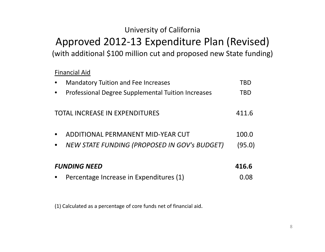### University of California

### Approved 2012-13 Expenditure Plan (Revised) (with additional \$100 million cut and proposed new State funding)

#### Financial Aid

|                     | <b>Mandatory Tuition and Fee Increases</b>                | TBD    |
|---------------------|-----------------------------------------------------------|--------|
|                     | <b>Professional Degree Supplemental Tuition Increases</b> | TBD    |
|                     | <b>TOTAL INCREASE IN EXPENDITURES</b>                     | 411.6  |
|                     | ADDITIONAL PERMANENT MID-YEAR CUT                         | 100.0  |
|                     | <b>NEW STATE FUNDING (PROPOSED IN GOV'S BUDGET)</b>       | (95.0) |
| <b>FUNDING NEED</b> |                                                           | 416.6  |
|                     | Percentage Increase in Expenditures (1)                   | 0.08   |

(1) Calculated as a percentage of core funds net of financial aid.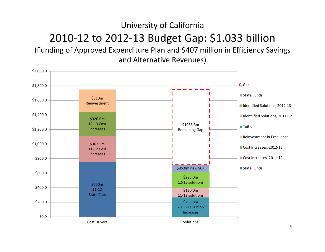### University of California 2010‐12 to 2012‐13 Budget Gap: \$1.033 billion

(Funding of Approved Expenditure Plan and \$407 million in Efficiency Savings and Alternative Revenues)

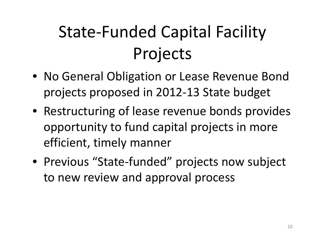# State‐Funded Capital Facility Projects

- No General Obligation or Lease Revenue Bond projects proposed in 2012‐13 State budget
- Restructuring of lease revenue bonds provides opportunity to fund capital projects in more efficient, timely manner
- Previous "State‐funded" projects now subject to new review and approval process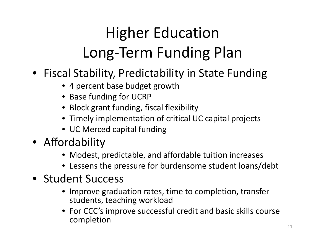# Higher Education Long‐Term Funding Plan

- Fiscal Stability, Predictability in State Funding
	- 4 percent base budget growth
	- Base funding for UCRP
	- Block grant funding, fiscal flexibility
	- Timely implementation of critical UC capital projects
	- UC Merced capital funding
- Affordability
	- Modest, predictable, and affordable tuition increases
	- Lessens the pressure for burdensome student loans/debt
- Student Success
	- Improve graduation rates, time to completion, transfer students, teaching workload
	- For CCC's improve successful credit and basic skills course completion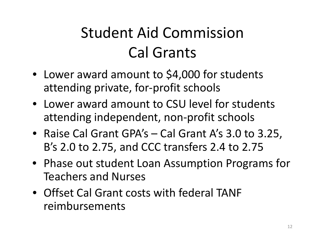## Student Aid Commission Cal Grants

- Lower award amount to \$4,000 for students attending private, for‐profit schools
- Lower award amount to CSU level for students attending independent, non‐profit schools
- Raise Cal Grant GPA's Cal Grant A's 3.0 to 3.25, B's 2.0 to 2.75, and CCC transfers 2.4 to 2.75
- Phase out student Loan Assumption Programs for Teachers and Nurses
- Offset Cal Grant costs with federal TANF reimbursements